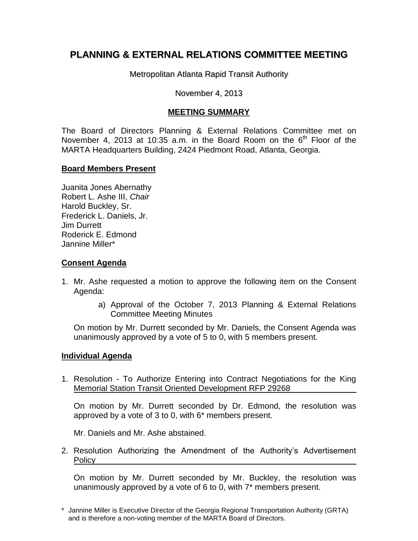# **PLANNING & EXTERNAL RELATIONS COMMITTEE MEETING**

Metropolitan Atlanta Rapid Transit Authority

### November 4, 2013

# **MEETING SUMMARY**

The Board of Directors Planning & External Relations Committee met on November 4, 2013 at 10:35 a.m. in the Board Room on the  $6<sup>th</sup>$  Floor of the MARTA Headquarters Building, 2424 Piedmont Road, Atlanta, Georgia.

## **Board Members Present**

Juanita Jones Abernathy Robert L. Ashe III, *Chair* Harold Buckley, Sr. Frederick L. Daniels, Jr. Jim Durrett Roderick E. Edmond Jannine Miller\*

#### **Consent Agenda**

- 1. Mr. Ashe requested a motion to approve the following item on the Consent Agenda:
	- a) Approval of the October 7, 2013 Planning & External Relations Committee Meeting Minutes

On motion by Mr. Durrett seconded by Mr. Daniels, the Consent Agenda was unanimously approved by a vote of 5 to 0, with 5 members present.

#### **Individual Agenda**

1. Resolution - To Authorize Entering into Contract Negotiations for the King Memorial Station Transit Oriented Development RFP 29268

On motion by Mr. Durrett seconded by Dr. Edmond, the resolution was approved by a vote of 3 to 0, with 6\* members present.

Mr. Daniels and Mr. Ashe abstained.

2. Resolution Authorizing the Amendment of the Authority's Advertisement Policy

On motion by Mr. Durrett seconded by Mr. Buckley, the resolution was unanimously approved by a vote of 6 to 0, with 7\* members present.

<sup>\*</sup> Jannine Miller is Executive Director of the Georgia Regional Transportation Authority (GRTA) and is therefore a non-voting member of the MARTA Board of Directors.